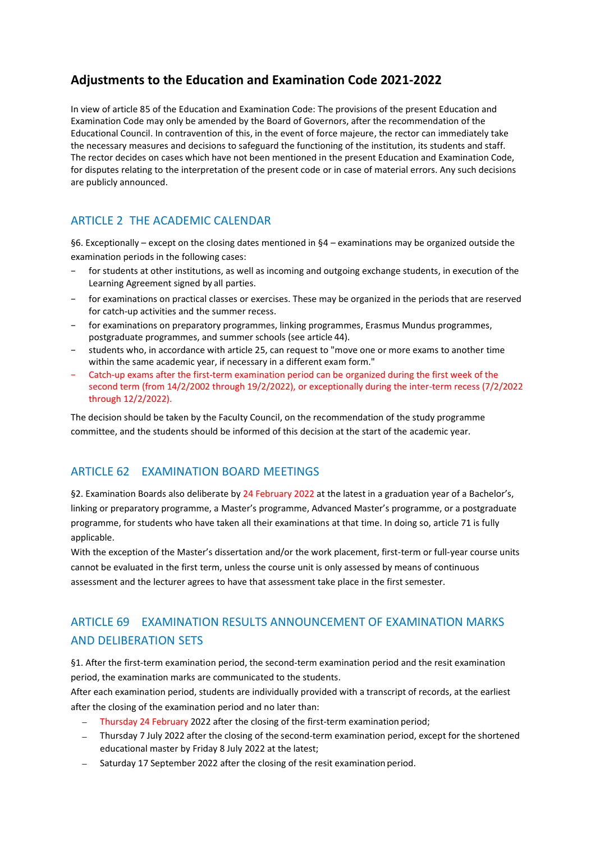# **Adjustments to the Education and Examination Code 2021-2022**

In view of article 85 of the Education and Examination Code: The provisions of the present Education and Examination Code may only be amended by the Board of Governors, after the recommendation of the Educational Council. In contravention of this, in the event of force majeure, the rector can immediately take the necessary measures and decisions to safeguard the functioning of the institution, its students and staff. The rector decides on cases which have not been mentioned in the present Education and Examination Code, for disputes relating to the interpretation of the present code or in case of material errors. Any such decisions are publicly announced.

### ARTICLE 2 THE ACADEMIC CALENDAR

§6. Exceptionally – except on the closing dates mentioned in §4 – examinations may be organized outside the examination periods in the following cases:

- for students at other institutions, as well as incoming and outgoing exchange students, in execution of the Learning Agreement signed by all parties.
- − for examinations on practical classes or exercises. These may be organized in the periods that are reserved for catch-up activities and the summer recess.
- − for examinations on preparatory programmes, linking programmes, Erasmus Mundus programmes, postgraduate programmes, and summer schools (see article 44).
- students who, in accordance with article 25, can request to "move one or more exams to another time within the same academic year, if necessary in a different exam form."
- − Catch-up exams after the first-term examination period can be organized during the first week of the second term (from 14/2/2002 through 19/2/2022), or exceptionally during the inter-term recess (7/2/2022 through 12/2/2022).

The decision should be taken by the Faculty Council, on the recommendation of the study programme committee, and the students should be informed of this decision at the start of the academic year.

#### ARTICLE 62 EXAMINATION BOARD MEETINGS

§2. Examination Boards also deliberate by 24 February 2022 at the latest in a graduation year of a Bachelor's, linking or preparatory programme, a Master's programme, Advanced Master's programme, or a postgraduate programme, for students who have taken all their examinations at that time. In doing so, article 71 is fully applicable.

With the exception of the Master's dissertation and/or the work placement, first-term or full-year course units cannot be evaluated in the first term, unless the course unit is only assessed by means of continuous assessment and the lecturer agrees to have that assessment take place in the first semester.

# ARTICLE 69 EXAMINATION RESULTS ANNOUNCEMENT OF EXAMINATION MARKS AND DELIBERATION SETS

§1. After the first-term examination period, the second-term examination period and the resit examination period, the examination marks are communicated to the students.

After each examination period, students are individually provided with a transcript of records, at the earliest after the closing of the examination period and no later than:

- − Thursday 24 February 2022 after the closing of the first-term examination period;
- − Thursday 7 July 2022 after the closing of the second-term examination period, except for the shortened educational master by Friday 8 July 2022 at the latest;
- Saturday 17 September 2022 after the closing of the resit examination period.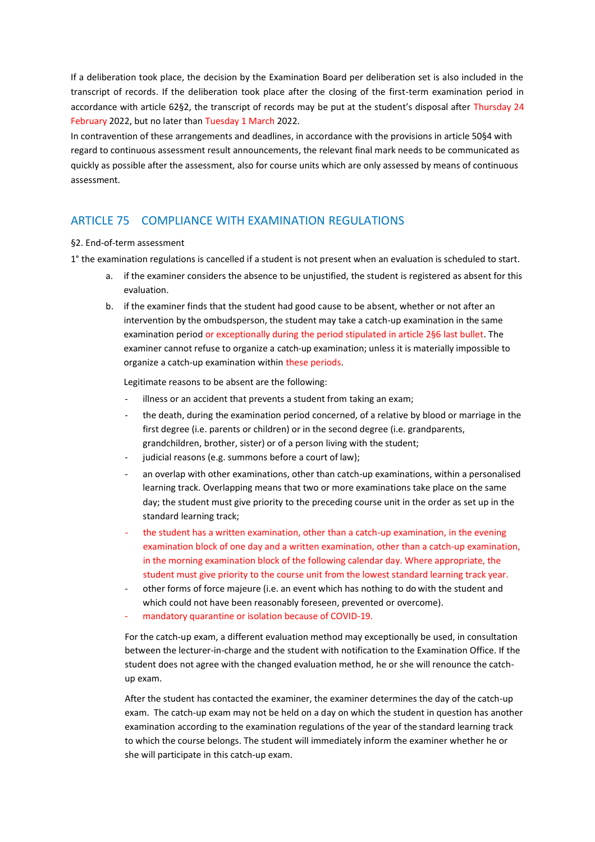If a deliberation took place, the decision by the Examination Board per deliberation set is also included in the transcript of records. If the deliberation took place after the closing of the first-term examination period in accordance with article 62§2, the transcript of records may be put at the student's disposal after Thursday 24 February 2022, but no later than Tuesday 1 March 2022.

In contravention of these arrangements and deadlines, in accordance with the provisions in article 50§4 with regard to continuous assessment result announcements, the relevant final mark needs to be communicated as quickly as possible after the assessment, also for course units which are only assessed by means of continuous assessment.

#### ARTICLE 75 COMPLIANCE WITH EXAMINATION REGULATIONS

#### §2. End-of-term assessment

1° the examination regulations is cancelled if a student is not present when an evaluation is scheduled to start.

- a. if the examiner considers the absence to be unjustified, the student is registered as absent for this evaluation.
- b. if the examiner finds that the student had good cause to be absent, whether or not after an intervention by the ombudsperson, the student may take a catch-up examination in the same examination period or exceptionally during the period stipulated in article 2§6 last bullet. The examiner cannot refuse to organize a catch-up examination; unless it is materially impossible to organize a catch-up examination within these periods.

Legitimate reasons to be absent are the following:

- illness or an accident that prevents a student from taking an exam;
- the death, during the examination period concerned, of a relative by blood or marriage in the first degree (i.e. parents or children) or in the second degree (i.e. grandparents, grandchildren, brother, sister) or of a person living with the student;
- judicial reasons (e.g. summons before a court of law);
- an overlap with other examinations, other than catch-up examinations, within a personalised learning track. Overlapping means that two or more examinations take place on the same day; the student must give priority to the preceding course unit in the order as set up in the standard learning track;
- the student has a written examination, other than a catch-up examination, in the evening examination block of one day and a written examination, other than a catch-up examination, in the morning examination block of the following calendar day. Where appropriate, the student must give priority to the course unit from the lowest standard learning track year.
- other forms of force majeure (i.e. an event which has nothing to do with the student and which could not have been reasonably foreseen, prevented or overcome).
- mandatory quarantine or isolation because of COVID-19.

For the catch-up exam, a different evaluation method may exceptionally be used, in consultation between the lecturer-in-charge and the student with notification to the Examination Office. If the student does not agree with the changed evaluation method, he or she will renounce the catchup exam.

After the student has contacted the examiner, the examiner determines the day of the catch-up exam. The catch-up exam may not be held on a day on which the student in question has another examination according to the examination regulations of the year of the standard learning track to which the course belongs. The student will immediately inform the examiner whether he or she will participate in this catch-up exam.